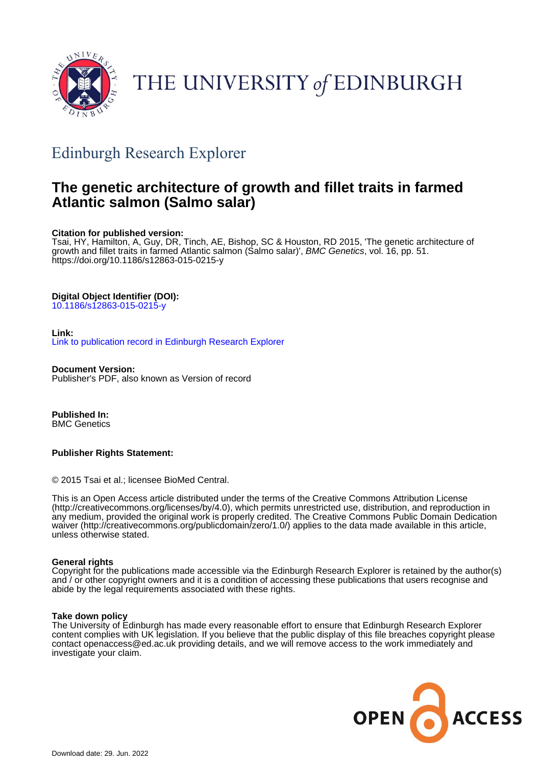

# THE UNIVERSITY of EDINBURGH

# Edinburgh Research Explorer

# **The genetic architecture of growth and fillet traits in farmed Atlantic salmon (Salmo salar)**

# **Citation for published version:**

Tsai, HY, Hamilton, A, Guy, DR, Tinch, AE, Bishop, SC & Houston, RD 2015, 'The genetic architecture of growth and fillet traits in farmed Atlantic salmon (Salmo salar)', BMC Genetics, vol. 16, pp. 51. <https://doi.org/10.1186/s12863-015-0215-y>

# **Digital Object Identifier (DOI):**

[10.1186/s12863-015-0215-y](https://doi.org/10.1186/s12863-015-0215-y)

# **Link:**

[Link to publication record in Edinburgh Research Explorer](https://www.research.ed.ac.uk/en/publications/d015b5a4-7b36-4d40-a8a6-1fc8fdd9a833)

**Document Version:**

Publisher's PDF, also known as Version of record

**Published In:** BMC Genetics

# **Publisher Rights Statement:**

© 2015 Tsai et al.; licensee BioMed Central.

This is an Open Access article distributed under the terms of the Creative Commons Attribution License (http://creativecommons.org/licenses/by/4.0), which permits unrestricted use, distribution, and reproduction in any medium, provided the original work is properly credited. The Creative Commons Public Domain Dedication waiver (http://creativecommons.org/publicdomain/zero/1.0/) applies to the data made available in this article, unless otherwise stated.

## **General rights**

Copyright for the publications made accessible via the Edinburgh Research Explorer is retained by the author(s) and / or other copyright owners and it is a condition of accessing these publications that users recognise and abide by the legal requirements associated with these rights.

## **Take down policy**

The University of Edinburgh has made every reasonable effort to ensure that Edinburgh Research Explorer content complies with UK legislation. If you believe that the public display of this file breaches copyright please contact openaccess@ed.ac.uk providing details, and we will remove access to the work immediately and investigate your claim.

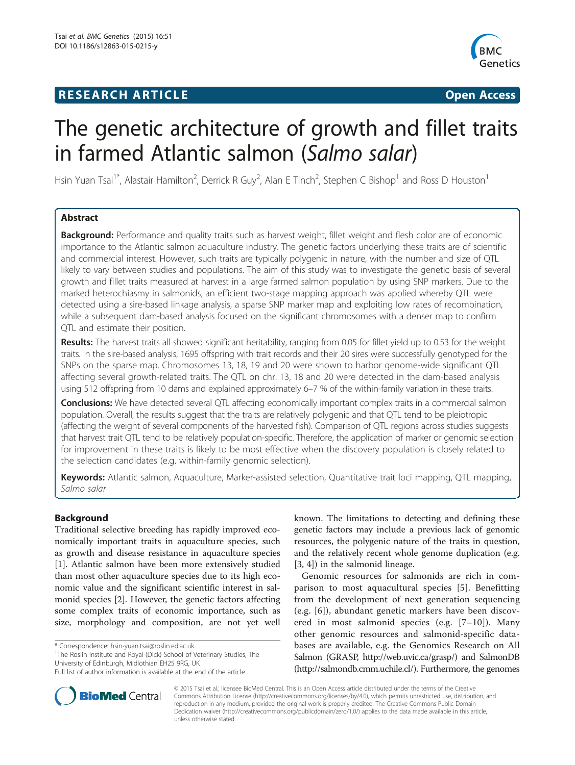# **RESEARCH ARTICLE Example 2018 12:00 Department of the CONNECTION CONNECTION CONNECTION CONNECTION**



# The genetic architecture of growth and fillet traits in farmed Atlantic salmon (Salmo salar)

Hsin Yuan Tsai<sup>1\*</sup>, Alastair Hamilton<sup>2</sup>, Derrick R Guy<sup>2</sup>, Alan E Tinch<sup>2</sup>, Stephen C Bishop<sup>1</sup> and Ross D Houston<sup>1</sup>

# Abstract

Background: Performance and quality traits such as harvest weight, fillet weight and flesh color are of economic importance to the Atlantic salmon aquaculture industry. The genetic factors underlying these traits are of scientific and commercial interest. However, such traits are typically polygenic in nature, with the number and size of QTL likely to vary between studies and populations. The aim of this study was to investigate the genetic basis of several growth and fillet traits measured at harvest in a large farmed salmon population by using SNP markers. Due to the marked heterochiasmy in salmonids, an efficient two-stage mapping approach was applied whereby QTL were detected using a sire-based linkage analysis, a sparse SNP marker map and exploiting low rates of recombination, while a subsequent dam-based analysis focused on the significant chromosomes with a denser map to confirm QTL and estimate their position.

Results: The harvest traits all showed significant heritability, ranging from 0.05 for fillet yield up to 0.53 for the weight traits. In the sire-based analysis, 1695 offspring with trait records and their 20 sires were successfully genotyped for the SNPs on the sparse map. Chromosomes 13, 18, 19 and 20 were shown to harbor genome-wide significant QTL affecting several growth-related traits. The QTL on chr. 13, 18 and 20 were detected in the dam-based analysis using 512 offspring from 10 dams and explained approximately 6–7 % of the within-family variation in these traits.

**Conclusions:** We have detected several QTL affecting economically important complex traits in a commercial salmon population. Overall, the results suggest that the traits are relatively polygenic and that QTL tend to be pleiotropic (affecting the weight of several components of the harvested fish). Comparison of QTL regions across studies suggests that harvest trait QTL tend to be relatively population-specific. Therefore, the application of marker or genomic selection for improvement in these traits is likely to be most effective when the discovery population is closely related to the selection candidates (e.g. within-family genomic selection).

Keywords: Atlantic salmon, Aquaculture, Marker-assisted selection, Quantitative trait loci mapping, QTL mapping, Salmo salar

## Background

Traditional selective breeding has rapidly improved economically important traits in aquaculture species, such as growth and disease resistance in aquaculture species [[1\]](#page-10-0). Atlantic salmon have been more extensively studied than most other aquaculture species due to its high economic value and the significant scientific interest in salmonid species [[2](#page-10-0)]. However, the genetic factors affecting some complex traits of economic importance, such as size, morphology and composition, are not yet well

\* Correspondence: [hsin-yuan.tsai@roslin.ed.ac.uk](mailto:hsin-yuan.tsai@roslin.ed.ac.uk) <sup>1</sup>

<sup>1</sup>The Roslin Institute and Royal (Dick) School of Veterinary Studies, The University of Edinburgh, Midlothian EH25 9RG, UK



Genomic resources for salmonids are rich in comparison to most aquacultural species [[5\]](#page-10-0). Benefitting from the development of next generation sequencing (e.g. [[6](#page-10-0)]), abundant genetic markers have been discovered in most salmonid species (e.g. [\[7](#page-10-0)–[10\]](#page-10-0)). Many other genomic resources and salmonid-specific databases are available, e.g. the Genomics Research on All Salmon (GRASP,<http://web.uvic.ca/grasp/>) and SalmonDB (<http://salmondb.cmm.uchile.cl/>). Furthermore, the genomes



© 2015 Tsai et al.; licensee BioMed Central. This is an Open Access article distributed under the terms of the Creative Commons Attribution License [\(http://creativecommons.org/licenses/by/4.0\)](http://creativecommons.org/licenses/by/4.0), which permits unrestricted use, distribution, and reproduction in any medium, provided the original work is properly credited. The Creative Commons Public Domain Dedication waiver [\(http://creativecommons.org/publicdomain/zero/1.0/](http://creativecommons.org/publicdomain/zero/1.0/)) applies to the data made available in this article, unless otherwise stated.

Full list of author information is available at the end of the article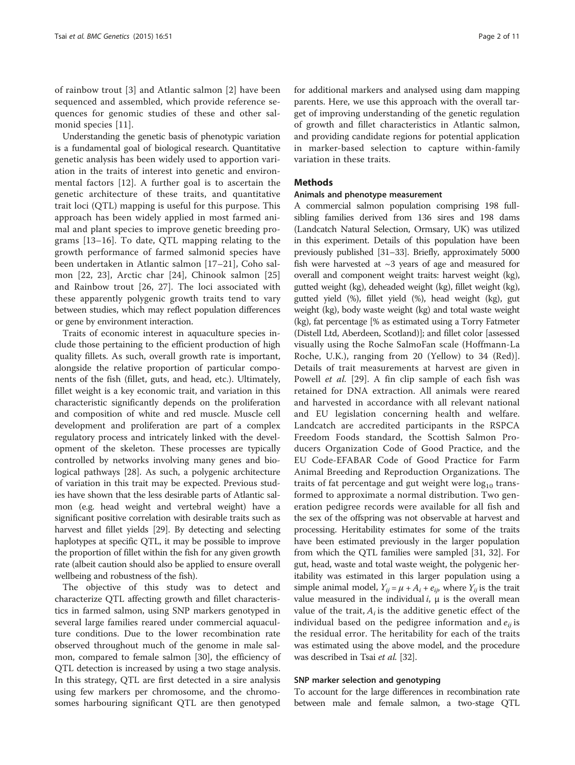of rainbow trout [[3](#page-10-0)] and Atlantic salmon [[2](#page-10-0)] have been sequenced and assembled, which provide reference sequences for genomic studies of these and other salmonid species [[11\]](#page-10-0).

Understanding the genetic basis of phenotypic variation is a fundamental goal of biological research. Quantitative genetic analysis has been widely used to apportion variation in the traits of interest into genetic and environmental factors [[12\]](#page-10-0). A further goal is to ascertain the genetic architecture of these traits, and quantitative trait loci (QTL) mapping is useful for this purpose. This approach has been widely applied in most farmed animal and plant species to improve genetic breeding programs [\[13](#page-10-0)–[16](#page-10-0)]. To date, QTL mapping relating to the growth performance of farmed salmonid species have been undertaken in Atlantic salmon [\[17](#page-11-0)–[21](#page-11-0)], Coho salmon [[22, 23\]](#page-11-0), Arctic char [[24](#page-11-0)], Chinook salmon [\[25](#page-11-0)] and Rainbow trout [[26, 27\]](#page-11-0). The loci associated with these apparently polygenic growth traits tend to vary between studies, which may reflect population differences or gene by environment interaction.

Traits of economic interest in aquaculture species include those pertaining to the efficient production of high quality fillets. As such, overall growth rate is important, alongside the relative proportion of particular components of the fish (fillet, guts, and head, etc.). Ultimately, fillet weight is a key economic trait, and variation in this characteristic significantly depends on the proliferation and composition of white and red muscle. Muscle cell development and proliferation are part of a complex regulatory process and intricately linked with the development of the skeleton. These processes are typically controlled by networks involving many genes and biological pathways [[28](#page-11-0)]. As such, a polygenic architecture of variation in this trait may be expected. Previous studies have shown that the less desirable parts of Atlantic salmon (e.g. head weight and vertebral weight) have a significant positive correlation with desirable traits such as harvest and fillet yields [\[29](#page-11-0)]. By detecting and selecting haplotypes at specific QTL, it may be possible to improve the proportion of fillet within the fish for any given growth rate (albeit caution should also be applied to ensure overall wellbeing and robustness of the fish).

The objective of this study was to detect and characterize QTL affecting growth and fillet characteristics in farmed salmon, using SNP markers genotyped in several large families reared under commercial aquaculture conditions. Due to the lower recombination rate observed throughout much of the genome in male salmon, compared to female salmon [[30\]](#page-11-0), the efficiency of QTL detection is increased by using a two stage analysis. In this strategy, QTL are first detected in a sire analysis using few markers per chromosome, and the chromosomes harbouring significant QTL are then genotyped

for additional markers and analysed using dam mapping parents. Here, we use this approach with the overall target of improving understanding of the genetic regulation of growth and fillet characteristics in Atlantic salmon, and providing candidate regions for potential application in marker-based selection to capture within-family variation in these traits.

#### **Methods**

#### Animals and phenotype measurement

A commercial salmon population comprising 198 fullsibling families derived from 136 sires and 198 dams (Landcatch Natural Selection, Ormsary, UK) was utilized in this experiment. Details of this population have been previously published [\[31](#page-11-0)–[33\]](#page-11-0). Briefly, approximately 5000 fish were harvested at  $\sim$ 3 years of age and measured for overall and component weight traits: harvest weight (kg), gutted weight (kg), deheaded weight (kg), fillet weight (kg), gutted yield (%), fillet yield (%), head weight (kg), gut weight (kg), body waste weight (kg) and total waste weight (kg), fat percentage [% as estimated using a Torry Fatmeter (Distell Ltd, Aberdeen, Scotland)]; and fillet color [assessed visually using the Roche SalmoFan scale (Hoffmann-La Roche, U.K.), ranging from 20 (Yellow) to 34 (Red)]. Details of trait measurements at harvest are given in Powell *et al.* [\[29](#page-11-0)]. A fin clip sample of each fish was retained for DNA extraction. All animals were reared and harvested in accordance with all relevant national and EU legislation concerning health and welfare. Landcatch are accredited participants in the RSPCA Freedom Foods standard, the Scottish Salmon Producers Organization Code of Good Practice, and the EU Code-EFABAR Code of Good Practice for Farm Animal Breeding and Reproduction Organizations. The traits of fat percentage and gut weight were  $log_{10}$  transformed to approximate a normal distribution. Two generation pedigree records were available for all fish and the sex of the offspring was not observable at harvest and processing. Heritability estimates for some of the traits have been estimated previously in the larger population from which the QTL families were sampled [\[31, 32](#page-11-0)]. For gut, head, waste and total waste weight, the polygenic heritability was estimated in this larger population using a simple animal model,  $Y_{ii} = \mu + A_i + e_{ii}$ , where  $Y_{ii}$  is the trait value measured in the individual *,*  $\mu$  *is the overall mean* value of the trait,  $A_i$  is the additive genetic effect of the individual based on the pedigree information and  $e_{ij}$  is the residual error. The heritability for each of the traits was estimated using the above model, and the procedure was described in Tsai et al. [\[32\]](#page-11-0).

#### SNP marker selection and genotyping

To account for the large differences in recombination rate between male and female salmon, a two-stage QTL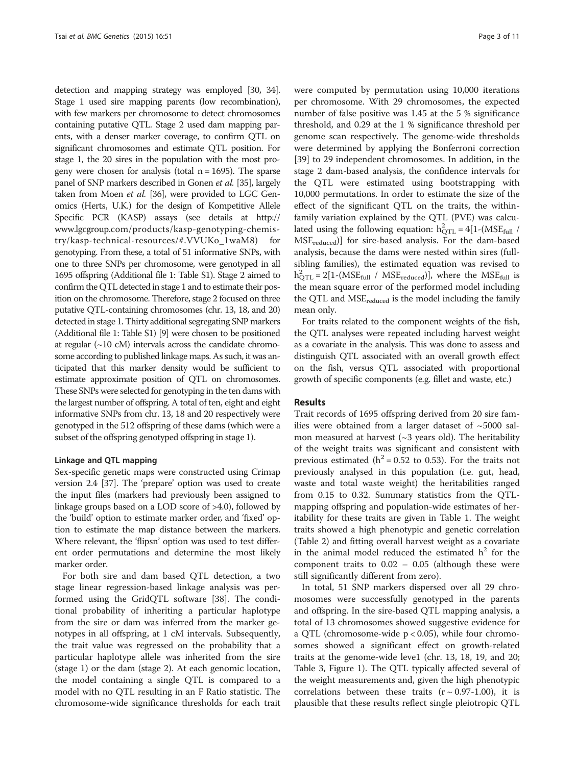detection and mapping strategy was employed [\[30, 34](#page-11-0)]. Stage 1 used sire mapping parents (low recombination), with few markers per chromosome to detect chromosomes containing putative QTL. Stage 2 used dam mapping parents, with a denser marker coverage, to confirm QTL on significant chromosomes and estimate QTL position. For stage 1, the 20 sires in the population with the most progeny were chosen for analysis (total  $n = 1695$ ). The sparse panel of SNP markers described in Gonen et al. [\[35\]](#page-11-0), largely taken from Moen et al. [\[36](#page-11-0)], were provided to LGC Genomics (Herts, U.K.) for the design of Kompetitive Allele Specific PCR (KASP) assays (see details at [http://](http://www.lgcgroup.com/products/kasp-genotyping-chemistry/kasp-technical-resources/#.VVUKo_1waM8) [www.lgcgroup.com/products/kasp-genotyping-chemis](http://www.lgcgroup.com/products/kasp-genotyping-chemistry/kasp-technical-resources/#.VVUKo_1waM8)[try/kasp-technical-resources/#.VVUKo\\_1waM8](http://www.lgcgroup.com/products/kasp-genotyping-chemistry/kasp-technical-resources/#.VVUKo_1waM8)) for genotyping. From these, a total of 51 informative SNPs, with one to three SNPs per chromosome, were genotyped in all 1695 offspring (Additional file [1:](#page-10-0) Table S1). Stage 2 aimed to confirm the QTL detected in stage 1 and to estimate their position on the chromosome. Therefore, stage 2 focused on three putative QTL-containing chromosomes (chr. 13, 18, and 20) detected in stage 1. Thirty additional segregating SNP markers (Additional file [1](#page-10-0): Table S1) [\[9](#page-10-0)] were chosen to be positioned at regular  $(\sim 10 \text{ cM})$  intervals across the candidate chromosome according to published linkage maps. As such, it was anticipated that this marker density would be sufficient to estimate approximate position of QTL on chromosomes. These SNPs were selected for genotyping in the ten dams with the largest number of offspring. A total of ten, eight and eight informative SNPs from chr. 13, 18 and 20 respectively were genotyped in the 512 offspring of these dams (which were a subset of the offspring genotyped offspring in stage 1).

#### Linkage and QTL mapping

Sex-specific genetic maps were constructed using Crimap version 2.4 [[37](#page-11-0)]. The 'prepare' option was used to create the input files (markers had previously been assigned to linkage groups based on a LOD score of >4.0), followed by the 'build' option to estimate marker order, and 'fixed' option to estimate the map distance between the markers. Where relevant, the 'flipsn' option was used to test different order permutations and determine the most likely marker order.

For both sire and dam based QTL detection, a two stage linear regression-based linkage analysis was performed using the GridQTL software [[38](#page-11-0)]. The conditional probability of inheriting a particular haplotype from the sire or dam was inferred from the marker genotypes in all offspring, at 1 cM intervals. Subsequently, the trait value was regressed on the probability that a particular haplotype allele was inherited from the sire (stage 1) or the dam (stage 2). At each genomic location, the model containing a single QTL is compared to a model with no QTL resulting in an F Ratio statistic. The chromosome-wide significance thresholds for each trait

were computed by permutation using 10,000 iterations per chromosome. With 29 chromosomes, the expected number of false positive was 1.45 at the 5 % significance threshold, and 0.29 at the 1 % significance threshold per genome scan respectively. The genome-wide thresholds were determined by applying the Bonferroni correction [[39\]](#page-11-0) to 29 independent chromosomes. In addition, in the stage 2 dam-based analysis, the confidence intervals for the QTL were estimated using bootstrapping with 10,000 permutations. In order to estimate the size of the effect of the significant QTL on the traits, the withinfamily variation explained by the QTL (PVE) was calculated using the following equation:  $h_{\text{QTL}}^2 = 4[1-(MSE_{\text{full}} /$ MSEreduced)] for sire-based analysis. For the dam-based analysis, because the dams were nested within sires (fullsibling families), the estimated equation was revised to  $h_{\text{QTL}}^2 = 2[1-(MSE_{\text{full}} / MSE_{\text{reduced}})]$ , where the  $MSE_{\text{full}}$  is the mean square error of the performed model including the QTL and MSE<sub>reduced</sub> is the model including the family mean only.

For traits related to the component weights of the fish, the QTL analyses were repeated including harvest weight as a covariate in the analysis. This was done to assess and distinguish QTL associated with an overall growth effect on the fish, versus QTL associated with proportional growth of specific components (e.g. fillet and waste, etc.)

#### Results

Trait records of 1695 offspring derived from 20 sire families were obtained from a larger dataset of  $\sim$ 5000 salmon measured at harvest  $(\sim 3$  years old). The heritability of the weight traits was significant and consistent with previous estimated ( $h^2$  = 0.52 to 0.53). For the traits not previously analysed in this population (i.e. gut, head, waste and total waste weight) the heritabilities ranged from 0.15 to 0.32. Summary statistics from the QTLmapping offspring and population-wide estimates of heritability for these traits are given in Table [1](#page-4-0). The weight traits showed a high phenotypic and genetic correlation (Table [2](#page-4-0)) and fitting overall harvest weight as a covariate in the animal model reduced the estimated  $h^2$  for the component traits to 0.02 – 0.05 (although these were still significantly different from zero).

In total, 51 SNP markers dispersed over all 29 chromosomes were successfully genotyped in the parents and offspring. In the sire-based QTL mapping analysis, a total of 13 chromosomes showed suggestive evidence for a QTL (chromosome-wide  $p < 0.05$ ), while four chromosomes showed a significant effect on growth-related traits at the genome-wide leve1 (chr. 13, 18, 19, and 20; Table [3](#page-5-0), Figure [1](#page-7-0)). The QTL typically affected several of the weight measurements and, given the high phenotypic correlations between these traits  $(r \sim 0.97 - 1.00)$ , it is plausible that these results reflect single pleiotropic QTL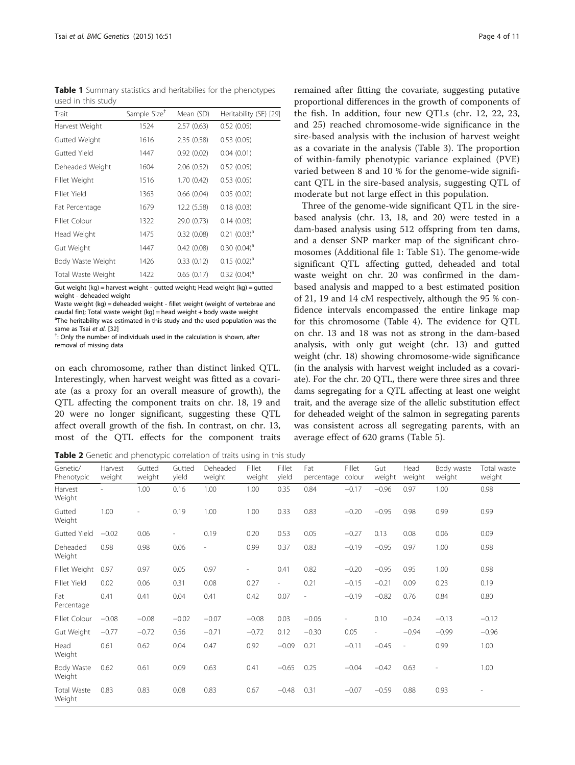<span id="page-4-0"></span>Table 1 Summary statistics and heritabilies for the phenotypes used in this study

| Trait              | Sample Size <sup>+</sup> | Mean (SD)   | Heritability (SE) [29] |
|--------------------|--------------------------|-------------|------------------------|
| Harvest Weight     | 1524                     | 2.57(0.63)  | 0.52(0.05)             |
| Gutted Weight      | 1616                     | 2.35(0.58)  | 0.53(0.05)             |
| Gutted Yield       | 1447                     | 0.92(0.02)  | 0.04(0.01)             |
| Deheaded Weight    | 1604                     | 2.06(0.52)  | 0.52(0.05)             |
| Fillet Weight      | 1516                     | 1.70(0.42)  | 0.53(0.05)             |
| Fillet Yield       | 1363                     | 0.66(0.04)  | 0.05(0.02)             |
| Fat Percentage     | 1679                     | 12.2 (5.58) | 0.18(0.03)             |
| Fillet Colour      | 1322                     | 29.0 (0.73) | 0.14(0.03)             |
| Head Weight        | 1475                     | 0.32(0.08)  | $0.21 (0.03)^{a}$      |
| Gut Weight         | 1447                     | 0.42(0.08)  | $0.30(0.04)^{d}$       |
| Body Waste Weight  | 1426                     | 0.33(0.12)  | $0.15$ $(0.02)^a$      |
| Total Waste Weight | 1422                     | 0.65(0.17)  | $0.32$ $(0.04)^a$      |
|                    |                          |             |                        |

Gut weight (kg) = harvest weight - gutted weight; Head weight (kg) = gutted weight - deheaded weight

Waste weight (kg) = deheaded weight - fillet weight (weight of vertebrae and caudal fin); Total waste weight (kg) = head weight + body waste weight <sup>a</sup>The heritability was estimated in this study and the used population was the same as Tsai et al. [[32](#page-11-0)]

 $\overline{\ }$ : Only the number of individuals used in the calculation is shown, after removal of missing data

on each chromosome, rather than distinct linked QTL. Interestingly, when harvest weight was fitted as a covariate (as a proxy for an overall measure of growth), the QTL affecting the component traits on chr. 18, 19 and 20 were no longer significant, suggesting these QTL affect overall growth of the fish. In contrast, on chr. 13, most of the QTL effects for the component traits

Table 2 Genetic and phenotypic correlation of traits using in this study

remained after fitting the covariate, suggesting putative proportional differences in the growth of components of the fish. In addition, four new QTLs (chr. 12, 22, 23, and 25) reached chromosome-wide significance in the sire-based analysis with the inclusion of harvest weight as a covariate in the analysis (Table [3](#page-5-0)). The proportion of within-family phenotypic variance explained (PVE) varied between 8 and 10 % for the genome-wide significant QTL in the sire-based analysis, suggesting QTL of moderate but not large effect in this population.

Three of the genome-wide significant QTL in the sirebased analysis (chr. 13, 18, and 20) were tested in a dam-based analysis using 512 offspring from ten dams, and a denser SNP marker map of the significant chromosomes (Additional file [1:](#page-10-0) Table S1). The genome-wide significant QTL affecting gutted, deheaded and total waste weight on chr. 20 was confirmed in the dambased analysis and mapped to a best estimated position of 21, 19 and 14 cM respectively, although the 95 % confidence intervals encompassed the entire linkage map for this chromosome (Table [4\)](#page-8-0). The evidence for QTL on chr. 13 and 18 was not as strong in the dam-based analysis, with only gut weight (chr. 13) and gutted weight (chr. 18) showing chromosome-wide significance (in the analysis with harvest weight included as a covariate). For the chr. 20 QTL, there were three sires and three dams segregating for a QTL affecting at least one weight trait, and the average size of the allelic substitution effect for deheaded weight of the salmon in segregating parents was consistent across all segregating parents, with an average effect of 620 grams (Table [5\)](#page-8-0).

| Genetic/<br>Phenotypic       | Harvest<br>weight | Gutted<br>weight | Gutted<br>yield          | Deheaded<br>weight | Fillet<br>weight | Fillet<br>yield          | Fat<br>percentage        | Fillet<br>colour | Gut<br>weight            | Head<br>weight           | Body waste<br>weight | Total waste<br>weight |
|------------------------------|-------------------|------------------|--------------------------|--------------------|------------------|--------------------------|--------------------------|------------------|--------------------------|--------------------------|----------------------|-----------------------|
| Harvest<br>Weight            |                   | 1.00             | 0.16                     | 1.00               | 1.00             | 0.35                     | 0.84                     | $-0.17$          | $-0.96$                  | 0.97                     | 1.00                 | 0.98                  |
| Gutted<br>Weight             | 1.00              |                  | 0.19                     | 1.00               | 1.00             | 0.33                     | 0.83                     | $-0.20$          | $-0.95$                  | 0.98                     | 0.99                 | 0.99                  |
| Gutted Yield                 | $-0.02$           | 0.06             | $\overline{\phantom{a}}$ | 0.19               | 0.20             | 0.53                     | 0.05                     | $-0.27$          | 0.13                     | 0.08                     | 0.06                 | 0.09                  |
| Deheaded<br>Weight           | 0.98              | 0.98             | 0.06                     | $\overline{a}$     | 0.99             | 0.37                     | 0.83                     | $-0.19$          | $-0.95$                  | 0.97                     | 1.00                 | 0.98                  |
| Fillet Weight                | 0.97              | 0.97             | 0.05                     | 0.97               | $\overline{a}$   | 0.41                     | 0.82                     | $-0.20$          | $-0.95$                  | 0.95                     | 1.00                 | 0.98                  |
| Fillet Yield                 | 0.02              | 0.06             | 0.31                     | 0.08               | 0.27             | $\overline{\phantom{a}}$ | 0.21                     | $-0.15$          | $-0.21$                  | 0.09                     | 0.23                 | 0.19                  |
| Fat<br>Percentage            | 0.41              | 0.41             | 0.04                     | 0.41               | 0.42             | 0.07                     | $\overline{\phantom{a}}$ | $-0.19$          | $-0.82$                  | 0.76                     | 0.84                 | 0.80                  |
| Fillet Colour                | $-0.08$           | $-0.08$          | $-0.02$                  | $-0.07$            | $-0.08$          | 0.03                     | $-0.06$                  |                  | 0.10                     | $-0.24$                  | $-0.13$              | $-0.12$               |
| Gut Weight                   | $-0.77$           | $-0.72$          | 0.56                     | $-0.71$            | $-0.72$          | 0.12                     | $-0.30$                  | 0.05             | $\overline{\phantom{a}}$ | $-0.94$                  | $-0.99$              | $-0.96$               |
| Head<br>Weight               | 0.61              | 0.62             | 0.04                     | 0.47               | 0.92             | $-0.09$                  | 0.21                     | $-0.11$          | $-0.45$                  | $\overline{\phantom{a}}$ | 0.99                 | 1.00                  |
| Body Waste<br>Weight         | 0.62              | 0.61             | 0.09                     | 0.63               | 0.41             | $-0.65$                  | 0.25                     | $-0.04$          | $-0.42$                  | 0.63                     |                      | 1.00                  |
| <b>Total Waste</b><br>Weight | 0.83              | 0.83             | 0.08                     | 0.83               | 0.67             | $-0.48$                  | 0.31                     | $-0.07$          | $-0.59$                  | 0.88                     | 0.93                 |                       |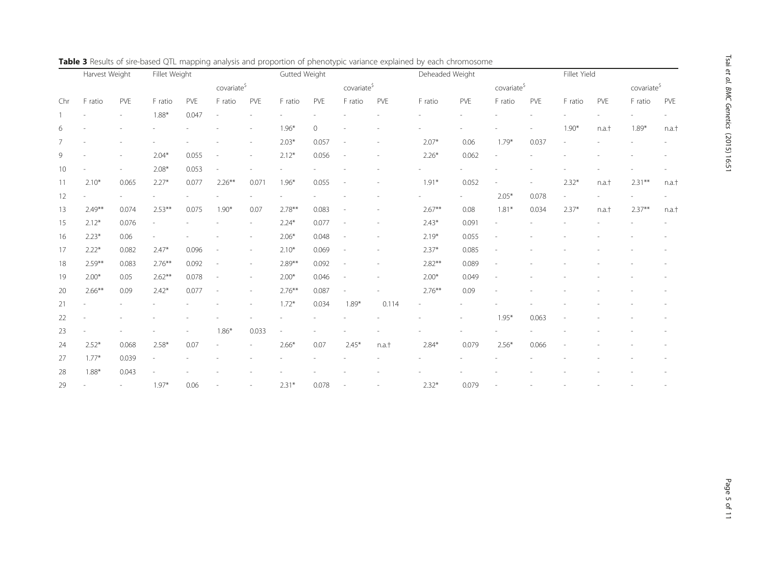|                | Harvest Weight |       | Fillet Weight |       |                          |                          | Gutted Weight |       |                          |       | Deheaded Weight |       |                         |       | Fillet Yield |       |                         |       |
|----------------|----------------|-------|---------------|-------|--------------------------|--------------------------|---------------|-------|--------------------------|-------|-----------------|-------|-------------------------|-------|--------------|-------|-------------------------|-------|
|                |                |       |               |       | covariate <sup>\$</sup>  |                          |               |       | covariate <sup>\$</sup>  |       |                 |       | covariate <sup>\$</sup> |       |              |       | covariate <sup>\$</sup> |       |
| Chr            | F ratio        | PVE   | F ratio       | PVE   | F ratio                  | PVE                      | F ratio       | PVE   | F ratio                  | PVE   | F ratio         | PVE   | F ratio                 | PVE   | F ratio      | PVE   | F ratio                 | PVE   |
|                |                |       | $1.88*$       | 0.047 |                          |                          |               |       |                          |       |                 |       |                         |       |              |       |                         |       |
| 6              |                |       |               |       |                          |                          | $1.96*$       | 0     |                          |       |                 |       |                         |       | $1.90*$      | n.a.t | $1.89*$                 | n.a.t |
| $\overline{7}$ |                |       |               |       |                          |                          | $2.03*$       | 0.057 |                          |       | $2.07*$         | 0.06  | $1.79*$                 | 0.037 |              |       |                         |       |
| 9              |                |       | $2.04*$       | 0.055 | $\overline{\phantom{a}}$ | $\sim$                   | $2.12*$       | 0.056 | $\overline{\phantom{a}}$ |       | $2.26*$         | 0.062 |                         |       |              |       |                         |       |
| 10             |                |       | $2.08*$       | 0.053 |                          |                          |               |       |                          |       |                 |       |                         |       |              |       |                         |       |
| 11             | $2.10*$        | 0.065 | $2.27*$       | 0.077 | $2.26***$                | 0.071                    | $1.96*$       | 0.055 |                          |       | $1.91*$         | 0.052 |                         |       | $2.32*$      | n.a.t | $2.31***$               | n.a.t |
| 12             |                |       |               |       |                          |                          |               |       |                          |       |                 |       | $2.05*$                 | 0.078 |              |       |                         |       |
| 13             | $2.49**$       | 0.074 | $2.53***$     | 0.075 | $1.90*$                  | 0.07                     | $2.78**$      | 0.083 |                          |       | $2.67**$        | 0.08  | $1.81*$                 | 0.034 | $2.37*$      | n.a.t | $2.37**$                | n.a.t |
| 15             | $2.12*$        | 0.076 |               |       |                          |                          | $2.24*$       | 0.077 |                          |       | $2.43*$         | 0.091 |                         |       |              |       |                         |       |
| 16             | $2.23*$        | 0.06  |               |       |                          |                          | $2.06*$       | 0.048 |                          |       | $2.19*$         | 0.055 |                         |       |              |       |                         |       |
| 17             | $2.22*$        | 0.082 | $2.47*$       | 0.096 |                          |                          | $2.10*$       | 0.069 |                          |       | $2.37*$         | 0.085 |                         |       |              |       |                         |       |
| 18             | $2.59***$      | 0.083 | $2.76***$     | 0.092 |                          |                          | $2.89***$     | 0.092 |                          |       | $2.82**$        | 0.089 |                         |       |              |       |                         |       |
| 19             | $2.00*$        | 0.05  | $2.62***$     | 0.078 |                          | $\overline{\phantom{a}}$ | $2.00*$       | 0.046 |                          |       | $2.00*$         | 0.049 |                         |       |              |       |                         |       |
| 20             | $2.66***$      | 0.09  | $2.42*$       | 0.077 | $\overline{\phantom{a}}$ | ۰                        | $2.76***$     | 0.087 |                          |       | $2.76***$       | 0.09  |                         |       |              |       |                         |       |
| 21             |                |       |               |       |                          |                          | $1.72*$       | 0.034 | $1.89*$                  | 0.114 |                 |       |                         |       |              |       |                         |       |
| 22             |                |       |               |       |                          |                          |               |       |                          |       |                 |       | $1.95*$                 | 0.063 |              |       |                         |       |
| 23             |                |       |               |       | $1.86*$                  | 0.033                    |               |       |                          |       |                 |       |                         |       |              |       |                         |       |
| 24             | $2.52*$        | 0.068 | $2.58*$       | 0.07  |                          |                          | $2.66*$       | 0.07  | $2.45*$                  | n.a.t | $2.84*$         | 0.079 | $2.56*$                 | 0.066 |              |       |                         |       |
| 27             | $1.77*$        | 0.039 |               |       |                          |                          |               |       |                          |       |                 |       |                         |       |              |       |                         |       |
| 28             | $1.88*$        | 0.043 |               |       |                          |                          |               |       |                          |       |                 |       |                         |       |              |       |                         |       |
| 29             |                |       | $1.97*$       | 0.06  |                          |                          | $2.31*$       | 0.078 |                          |       | $2.32*$         | 0.079 |                         |       |              |       |                         |       |

<span id="page-5-0"></span>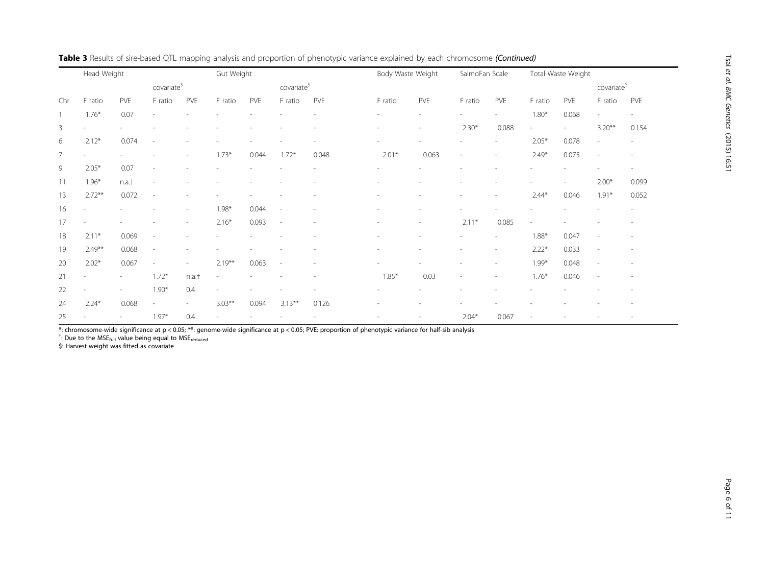|                | Head Weight              |                          | Gut Weight               |                          |                          |       | Body Waste Weight        |       |         | SalmoFan Scale           |                          | Total Waste Weight       |         |                          |                          |                          |
|----------------|--------------------------|--------------------------|--------------------------|--------------------------|--------------------------|-------|--------------------------|-------|---------|--------------------------|--------------------------|--------------------------|---------|--------------------------|--------------------------|--------------------------|
|                |                          |                          | covariate <sup>\$</sup>  |                          |                          |       | covariate <sup>\$</sup>  |       |         |                          |                          |                          |         |                          | covariate <sup>\$</sup>  |                          |
| Chr            | F ratio                  | PVE                      | F ratio                  | PVE                      | F ratio                  | PVE   | F ratio                  | PVE   | F ratio | PVE                      | F ratio                  | <b>PVE</b>               | F ratio | PVE                      | F ratio                  | PVE                      |
|                | $1.76*$                  | 0.07                     |                          |                          |                          |       |                          |       |         |                          |                          | $\overline{\phantom{a}}$ | $1.80*$ | 0.068                    | ÷.                       | $\overline{\phantom{a}}$ |
| 3              | $\overline{a}$           |                          |                          |                          |                          |       |                          |       |         |                          | $2.30*$                  | 0.088                    |         | $\overline{\phantom{a}}$ | $3.20**$                 | 0.154                    |
| 6              | $2.12*$                  | 0.074                    | $\sim$                   |                          |                          |       |                          |       |         |                          |                          | $\overline{\phantom{a}}$ | $2.05*$ | 0.078                    | $\overline{\phantom{a}}$ |                          |
| $\overline{7}$ | $\overline{\phantom{a}}$ |                          |                          | $\overline{\phantom{a}}$ | $1.73*$                  | 0.044 | $1.72*$                  | 0.048 | $2.01*$ | 0.063                    | $\overline{\phantom{m}}$ | $\overline{\phantom{a}}$ | $2.49*$ | 0.075                    | $\overline{a}$           |                          |
| 9              | $2.05*$                  | 0.07                     |                          |                          |                          |       |                          |       |         |                          |                          |                          |         |                          |                          | $\overline{\phantom{a}}$ |
| 11             | $1.96*$                  | n.a.t                    |                          |                          |                          |       |                          |       |         |                          |                          |                          |         |                          | $2.00*$                  | 0.099                    |
| 13             | $2.72***$                | 0.072                    | $\overline{\phantom{a}}$ |                          |                          |       |                          |       |         |                          | ٠                        | $\overline{\phantom{a}}$ | $2.44*$ | 0.046                    | $1.91*$                  | 0.052                    |
| 16             | $\overline{\phantom{a}}$ |                          |                          | $\overline{\phantom{a}}$ | $1.98*$                  | 0.044 | $\overline{\phantom{a}}$ |       |         |                          |                          |                          |         |                          |                          |                          |
| 17             | $\overline{\phantom{a}}$ |                          |                          | $\overline{\phantom{a}}$ | $2.16*$                  | 0.093 | $\overline{\phantom{a}}$ |       |         |                          | $2.11*$                  | 0.085                    |         |                          |                          |                          |
| 18             | $2.11*$                  | 0.069                    |                          |                          |                          |       |                          |       |         |                          |                          | $\overline{\phantom{a}}$ | $1.88*$ | 0.047                    | $\overline{\phantom{a}}$ |                          |
| 19             | $2.49**$                 | 0.068                    |                          |                          |                          |       |                          |       |         |                          |                          | $\overline{\phantom{a}}$ | $2.22*$ | 0.033                    | J.                       |                          |
| 20             | $2.02*$                  | 0.067                    | ۰                        | $\overline{\phantom{a}}$ | $2.19***$                | 0.063 |                          |       |         |                          | $\overline{\phantom{a}}$ | $\overline{\phantom{a}}$ | $1.99*$ | 0.048                    | $\overline{\phantom{a}}$ |                          |
| 21             | $\overline{\phantom{a}}$ | $\sim$                   | $1.72*$                  | n.a.t                    | $\overline{\phantom{a}}$ |       |                          |       | $1.85*$ | 0.03                     | $\overline{\phantom{a}}$ | $\overline{\phantom{a}}$ | $1.76*$ | 0.046                    | ٠                        |                          |
| 22             | $\overline{\phantom{a}}$ | $\overline{\phantom{a}}$ | $1.90*$                  | 0.4                      | ۰                        |       |                          |       |         |                          |                          |                          |         |                          |                          |                          |
| 24             | $2.24*$                  | 0.068                    | $\sim$                   | $\sim$                   | $3.03***$                | 0.094 | $3.13***$                | 0.126 |         |                          |                          |                          |         |                          |                          |                          |
| 25             |                          | $\overline{\phantom{a}}$ | $1.97*$                  | 0.4                      | $\overline{\phantom{0}}$ |       |                          |       | ٠       | $\overline{\phantom{a}}$ | $2.04*$                  | 0.067                    | $\sim$  |                          |                          |                          |

Table 3 Results of sire-based QTL mapping analysis and proportion of phenotypic variance explained by each chromosome (Continued)

\*: chromosome-wide significance at p < 0.05; \*\*: genome-wide significance at p < 0.05; PVE: proportion of phenotypic variance for half-sib analysis

<sup>†</sup>: Due to the MSE<sub>full</sub> value being equal to MSE<sub>reduced</sub>

state to the modium value being equal to the modium value of the sense of the sense of the sense of the sense of the sense of the sense of the sense of the sense of the sense of the sense of the sense of the sense of the s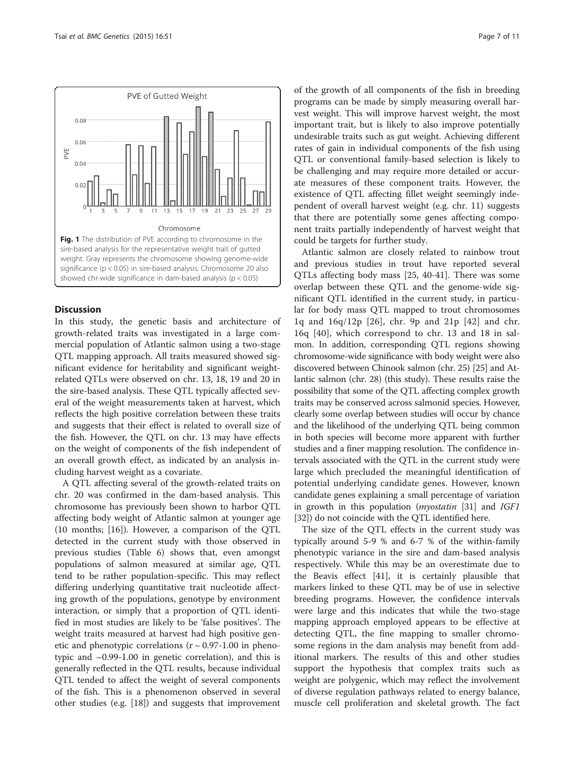<span id="page-7-0"></span>

### **Discussion**

In this study, the genetic basis and architecture of growth-related traits was investigated in a large commercial population of Atlantic salmon using a two-stage QTL mapping approach. All traits measured showed significant evidence for heritability and significant weightrelated QTLs were observed on chr. 13, 18, 19 and 20 in the sire-based analysis. These QTL typically affected several of the weight measurements taken at harvest, which reflects the high positive correlation between these traits and suggests that their effect is related to overall size of the fish. However, the QTL on chr. 13 may have effects on the weight of components of the fish independent of an overall growth effect, as indicated by an analysis including harvest weight as a covariate.

A QTL affecting several of the growth-related traits on chr. 20 was confirmed in the dam-based analysis. This chromosome has previously been shown to harbor QTL affecting body weight of Atlantic salmon at younger age (10 months; [[16\]](#page-10-0)). However, a comparison of the QTL detected in the current study with those observed in previous studies (Table [6](#page-9-0)) shows that, even amongst populations of salmon measured at similar age, QTL tend to be rather population-specific. This may reflect differing underlying quantitative trait nucleotide affecting growth of the populations, genotype by environment interaction, or simply that a proportion of QTL identified in most studies are likely to be 'false positives'. The weight traits measured at harvest had high positive genetic and phenotypic correlations  $(r \sim 0.97 - 1.00)$  in phenotypic and ~0.99-1.00 in genetic correlation), and this is generally reflected in the QTL results, because individual QTL tended to affect the weight of several components of the fish. This is a phenomenon observed in several other studies (e.g. [[18](#page-11-0)]) and suggests that improvement

of the growth of all components of the fish in breeding programs can be made by simply measuring overall harvest weight. This will improve harvest weight, the most important trait, but is likely to also improve potentially undesirable traits such as gut weight. Achieving different rates of gain in individual components of the fish using QTL or conventional family-based selection is likely to be challenging and may require more detailed or accurate measures of these component traits. However, the existence of QTL affecting fillet weight seemingly independent of overall harvest weight (e.g. chr. 11) suggests that there are potentially some genes affecting component traits partially independently of harvest weight that could be targets for further study.

Atlantic salmon are closely related to rainbow trout and previous studies in trout have reported several QTLs affecting body mass [[25, 40-41\]](#page-11-0). There was some overlap between these QTL and the genome-wide significant QTL identified in the current study, in particular for body mass QTL mapped to trout chromosomes 1q and 16q/12p [[26](#page-11-0)], chr. 9p and 21p [[42](#page-11-0)] and chr. 16q [[40](#page-11-0)], which correspond to chr. 13 and 18 in salmon. In addition, corresponding QTL regions showing chromosome-wide significance with body weight were also discovered between Chinook salmon (chr. 25) [[25](#page-11-0)] and Atlantic salmon (chr. 28) (this study). These results raise the possibility that some of the QTL affecting complex growth traits may be conserved across salmonid species. However, clearly some overlap between studies will occur by chance and the likelihood of the underlying QTL being common in both species will become more apparent with further studies and a finer mapping resolution. The confidence intervals associated with the QTL in the current study were large which precluded the meaningful identification of potential underlying candidate genes. However, known candidate genes explaining a small percentage of variation in growth in this population (myostatin [\[31\]](#page-11-0) and IGF1 [[32](#page-11-0)]) do not coincide with the QTL identified here.

The size of the QTL effects in the current study was typically around 5-9 % and 6-7 % of the within-family phenotypic variance in the sire and dam-based analysis respectively. While this may be an overestimate due to the Beavis effect [\[41](#page-11-0)], it is certainly plausible that markers linked to these QTL may be of use in selective breeding programs. However, the confidence intervals were large and this indicates that while the two-stage mapping approach employed appears to be effective at detecting QTL, the fine mapping to smaller chromosome regions in the dam analysis may benefit from additional markers. The results of this and other studies support the hypothesis that complex traits such as weight are polygenic, which may reflect the involvement of diverse regulation pathways related to energy balance, muscle cell proliferation and skeletal growth. The fact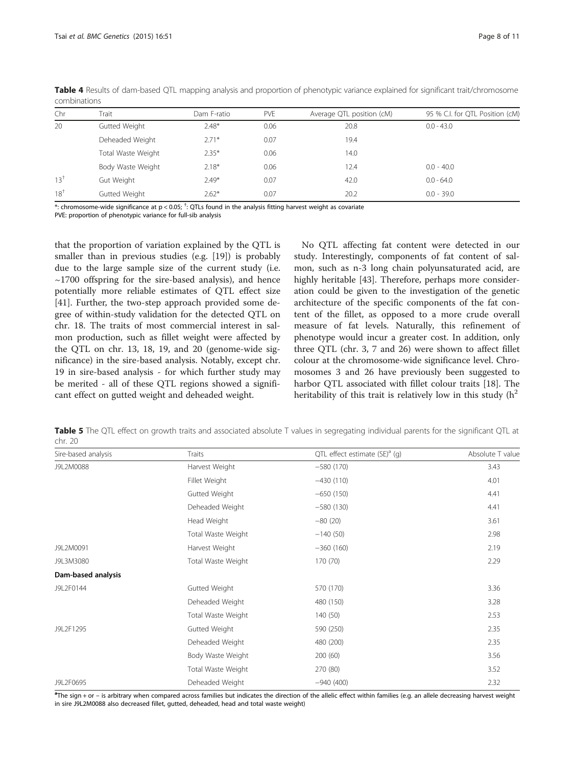| Chr             | Trait              | Dam F-ratio | PVE  | Average QTL position (cM) | 95 % C.I. for QTL Position (cM) |
|-----------------|--------------------|-------------|------|---------------------------|---------------------------------|
| 20              | Gutted Weight      | $2.48*$     | 0.06 | 20.8                      | $0.0 - 43.0$                    |
|                 | Deheaded Weight    | $2.71*$     | 0.07 | 19.4                      |                                 |
|                 | Total Waste Weight | $2.35*$     | 0.06 | 14.0                      |                                 |
|                 | Body Waste Weight  | $2.18*$     | 0.06 | 12.4                      | $0.0 - 40.0$                    |
| $13^{+}$        | Gut Weight         | $2.49*$     | 0.07 | 42.0                      | $0.0 - 64.0$                    |
| 18 <sup>†</sup> | Gutted Weight      | $2.62*$     | 0.07 | 20.2                      | $0.0 - 39.0$                    |

<span id="page-8-0"></span>Table 4 Results of dam-based QTL mapping analysis and proportion of phenotypic variance explained for significant trait/chromosome combinations

 $\stackrel{*}{\cdot}$ : chromosome-wide significance at p < 0.05;  $^\dagger$ : QTLs found in the analysis fitting harvest weight as covariate PVE: proportion of phenotypic variance for full-sib analysis

that the proportion of variation explained by the QTL is smaller than in previous studies (e.g. [\[19\]](#page-11-0)) is probably due to the large sample size of the current study (i.e.  $\sim$ 1700 offspring for the sire-based analysis), and hence potentially more reliable estimates of QTL effect size [[41\]](#page-11-0). Further, the two-step approach provided some degree of within-study validation for the detected QTL on chr. 18. The traits of most commercial interest in salmon production, such as fillet weight were affected by the QTL on chr. 13, 18, 19, and 20 (genome-wide significance) in the sire-based analysis. Notably, except chr. 19 in sire-based analysis - for which further study may be merited - all of these QTL regions showed a significant effect on gutted weight and deheaded weight.

No QTL affecting fat content were detected in our study. Interestingly, components of fat content of salmon, such as n-3 long chain polyunsaturated acid, are highly heritable [\[43](#page-11-0)]. Therefore, perhaps more consideration could be given to the investigation of the genetic architecture of the specific components of the fat content of the fillet, as opposed to a more crude overall measure of fat levels. Naturally, this refinement of phenotype would incur a greater cost. In addition, only three QTL (chr. 3, 7 and 26) were shown to affect fillet colour at the chromosome-wide significance level. Chromosomes 3 and 26 have previously been suggested to harbor QTL associated with fillet colour traits [[18\]](#page-11-0). The heritability of this trait is relatively low in this study  $(h^2)$ 

Table 5 The QTL effect on growth traits and associated absolute T values in segregating individual parents for the significant QTL at chr. 20

| Sire-based analysis | Traits             | QTL effect estimate $(SE)^a$ (g) | Absolute T value |
|---------------------|--------------------|----------------------------------|------------------|
| J9L2M0088           | Harvest Weight     | $-580(170)$                      | 3.43             |
|                     | Fillet Weight      | $-430(110)$                      | 4.01             |
|                     | Gutted Weight      | $-650(150)$                      | 4.41             |
|                     | Deheaded Weight    | $-580(130)$                      | 4.41             |
|                     | Head Weight        | $-80(20)$                        | 3.61             |
|                     | Total Waste Weight | $-140(50)$                       | 2.98             |
| J9L2M0091           | Harvest Weight     | $-360(160)$                      | 2.19             |
| J9L3M3080           | Total Waste Weight | 170 (70)                         | 2.29             |
| Dam-based analysis  |                    |                                  |                  |
| J9L2F0144           | Gutted Weight      | 570 (170)                        | 3.36             |
|                     | Deheaded Weight    | 480 (150)                        | 3.28             |
|                     | Total Waste Weight | 140 (50)                         | 2.53             |
| J9L2F1295           | Gutted Weight      | 590 (250)                        | 2.35             |
|                     | Deheaded Weight    | 480 (200)                        | 2.35             |
|                     | Body Waste Weight  | 200 (60)                         | 3.56             |
|                     | Total Waste Weight | 270 (80)                         | 3.52             |
| J9L2F0695           | Deheaded Weight    | $-940(400)$                      | 2.32             |

**a**The sign + or – is arbitrary when compared across families but indicates the direction of the allelic effect within families (e.g. an allele decreasing harvest weight in sire J9L2M0088 also decreased fillet, gutted, deheaded, head and total waste weight)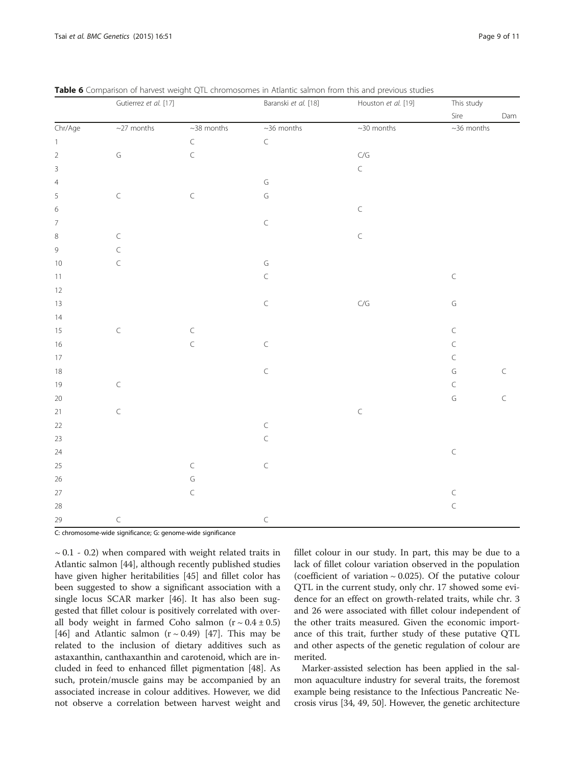|                          | Gutierrez et al. [17] |                   | Baranski et al. [18] | Houston et al. [19] | This study   |           |
|--------------------------|-----------------------|-------------------|----------------------|---------------------|--------------|-----------|
|                          |                       |                   |                      |                     | Sire         | Dam       |
| Chr/Age                  | $\sim$ 27 months      | $~\sim$ 38 months | $~10$ months         | $~\sim$ 30 months   | $~10$ months |           |
| $\,1\,$                  |                       | $\mathsf C$       | $\mathsf C$          |                     |              |           |
| $\sqrt{2}$               | $\mathsf G$           | $\subset$         |                      | C/G                 |              |           |
| $\overline{3}$           |                       |                   |                      | $\subset$           |              |           |
| $\overline{4}$           |                       |                   | $\mathsf G$          |                     |              |           |
| 5                        | $\subset$             | $\mathsf C$       | $\mathsf G$          |                     |              |           |
| $\,$ 6 $\,$              |                       |                   |                      | $\subset$           |              |           |
| $\overline{\mathcal{I}}$ |                       |                   | $\subset$            |                     |              |           |
| $\,8$                    | $\mathsf C$           |                   |                      | $\subset$           |              |           |
| $\mathsf 9$              | $\subset$             |                   |                      |                     |              |           |
| 10                       | $\subset$             |                   | $\mathsf G$          |                     |              |           |
| $11\,$                   |                       |                   | $\subset$            |                     | $\subset$    |           |
| 12                       |                       |                   |                      |                     |              |           |
| $13$                     |                       |                   | $\subset$            | C/G                 | $\mathsf G$  |           |
| $14\,$                   |                       |                   |                      |                     |              |           |
| 15                       | $\mathsf C$           | $\subset$         |                      |                     | $\subset$    |           |
| 16                       |                       | $\subset$         | $\mathsf C$          |                     | $\subset$    |           |
| $17\,$                   |                       |                   |                      |                     | $\subset$    |           |
| $18$                     |                       |                   | $\subset$            |                     | $\mathsf G$  | $\subset$ |
| $19$                     | $\subset$             |                   |                      |                     | $\subset$    |           |
| $20\,$                   |                       |                   |                      |                     | $\mathsf G$  | $\subset$ |
| $21$                     | $\mathsf C$           |                   |                      | $\subset$           |              |           |
| $22\,$                   |                       |                   | $\subset$            |                     |              |           |
| 23                       |                       |                   | $\mathsf C$          |                     |              |           |
| $24\,$                   |                       |                   |                      |                     | $\mathsf C$  |           |
| 25                       |                       | $\mathsf C$       | $\subset$            |                     |              |           |
| $26\,$                   |                       | $\mathsf G$       |                      |                     |              |           |
| $27\,$                   |                       | $\mathsf C$       |                      |                     | $\subset$    |           |
| $28\,$                   |                       |                   |                      |                     | $\subset$    |           |
| 29                       | $\subset$             |                   | $\subset$            |                     |              |           |

<span id="page-9-0"></span>Table 6 Comparison of harvest weight OTL chromosomes in Atlantic salmon from this and previous studies

C: chromosome-wide significance; G: genome-wide significance

 $\sim$  0.1 - 0.2) when compared with weight related traits in Atlantic salmon [[44\]](#page-11-0), although recently published studies have given higher heritabilities [\[45\]](#page-11-0) and fillet color has been suggested to show a significant association with a single locus SCAR marker [\[46](#page-11-0)]. It has also been suggested that fillet colour is positively correlated with overall body weight in farmed Coho salmon  $(r \sim 0.4 \pm 0.5)$ [[46\]](#page-11-0) and Atlantic salmon  $(r \sim 0.49)$  [[47](#page-11-0)]. This may be related to the inclusion of dietary additives such as astaxanthin, canthaxanthin and carotenoid, which are included in feed to enhanced fillet pigmentation [\[48](#page-11-0)]. As such, protein/muscle gains may be accompanied by an associated increase in colour additives. However, we did not observe a correlation between harvest weight and

fillet colour in our study. In part, this may be due to a lack of fillet colour variation observed in the population (coefficient of variation  $\sim$  0.025). Of the putative colour QTL in the current study, only chr. 17 showed some evidence for an effect on growth-related traits, while chr. 3 and 26 were associated with fillet colour independent of the other traits measured. Given the economic importance of this trait, further study of these putative QTL and other aspects of the genetic regulation of colour are merited.

Marker-assisted selection has been applied in the salmon aquaculture industry for several traits, the foremost example being resistance to the Infectious Pancreatic Necrosis virus [\[34, 49](#page-11-0), [50](#page-11-0)]. However, the genetic architecture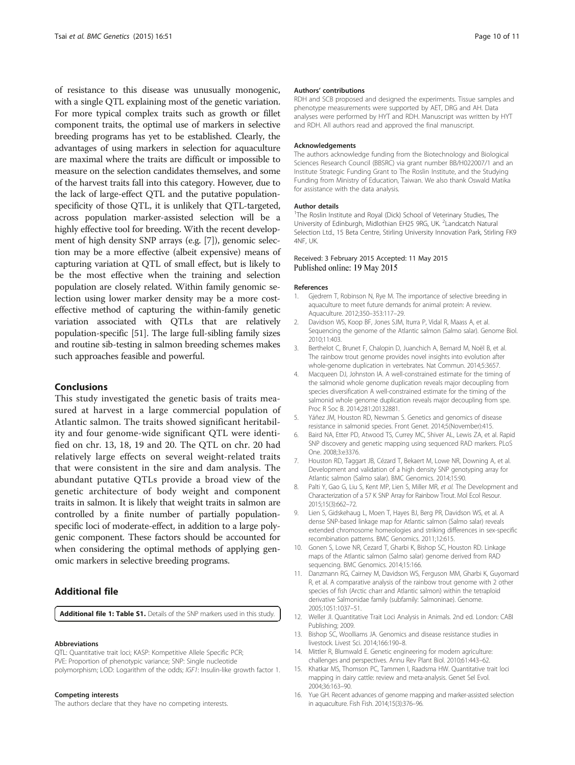<span id="page-10-0"></span>of resistance to this disease was unusually monogenic, with a single QTL explaining most of the genetic variation. For more typical complex traits such as growth or fillet component traits, the optimal use of markers in selective breeding programs has yet to be established. Clearly, the advantages of using markers in selection for aquaculture are maximal where the traits are difficult or impossible to measure on the selection candidates themselves, and some of the harvest traits fall into this category. However, due to the lack of large-effect QTL and the putative populationspecificity of those QTL, it is unlikely that QTL-targeted, across population marker-assisted selection will be a highly effective tool for breeding. With the recent development of high density SNP arrays (e.g. [7]), genomic selection may be a more effective (albeit expensive) means of capturing variation at QTL of small effect, but is likely to be the most effective when the training and selection population are closely related. Within family genomic selection using lower marker density may be a more costeffective method of capturing the within-family genetic variation associated with QTLs that are relatively population-specific [\[51\]](#page-11-0). The large full-sibling family sizes and routine sib-testing in salmon breeding schemes makes such approaches feasible and powerful.

#### Conclusions

This study investigated the genetic basis of traits measured at harvest in a large commercial population of Atlantic salmon. The traits showed significant heritability and four genome-wide significant QTL were identified on chr. 13, 18, 19 and 20. The QTL on chr. 20 had relatively large effects on several weight-related traits that were consistent in the sire and dam analysis. The abundant putative QTLs provide a broad view of the genetic architecture of body weight and component traits in salmon. It is likely that weight traits in salmon are controlled by a finite number of partially populationspecific loci of moderate-effect, in addition to a large polygenic component. These factors should be accounted for when considering the optimal methods of applying genomic markers in selective breeding programs.

### Additional file

[Additional file 1: Table S1.](http://www.biomedcentral.com/content/supplementary/s12863-015-0215-y-s1.docx) Details of the SNP markers used in this study.

#### Abbreviations

QTL: Quantitative trait loci; KASP: Kompetitive Allele Specific PCR; PVE: Proportion of phenotypic variance; SNP: Single nucleotide polymorphism; LOD: Logarithm of the odds; IGF1: Insulin-like growth factor 1.

#### Competing interests

The authors declare that they have no competing interests.

#### Authors' contributions

RDH and SCB proposed and designed the experiments. Tissue samples and phenotype measurements were supported by AET, DRG and AH. Data analyses were performed by HYT and RDH. Manuscript was written by HYT and RDH. All authors read and approved the final manuscript.

#### Acknowledgements

The authors acknowledge funding from the Biotechnology and Biological Sciences Research Council (BBSRC) via grant number BB/H022007/1 and an Institute Strategic Funding Grant to The Roslin Institute, and the Studying Funding from Ministry of Education, Taiwan. We also thank Oswald Matika for assistance with the data analysis.

#### Author details

<sup>1</sup>The Roslin Institute and Royal (Dick) School of Veterinary Studies, The University of Edinburgh, Midlothian EH25 9RG, UK. <sup>2</sup> Landcatch Natural Selection Ltd., 15 Beta Centre, Stirling University Innovation Park, Stirling FK9 4NF, UK.

#### Received: 3 February 2015 Accepted: 11 May 2015 Published online: 19 May 2015

#### References

- 1. Gjedrem T, Robinson N, Rye M. The importance of selective breeding in aquaculture to meet future demands for animal protein: A review. Aquaculture. 2012;350–353:117–29.
- 2. Davidson WS, Koop BF, Jones SJM, Iturra P, Vidal R, Maass A, et al. Sequencing the genome of the Atlantic salmon (Salmo salar). Genome Biol. 2010;11:403.
- 3. Berthelot C, Brunet F, Chalopin D, Juanchich A, Bernard M, Noël B, et al. The rainbow trout genome provides novel insights into evolution after whole-genome duplication in vertebrates. Nat Commun. 2014;5:3657.
- 4. Macqueen DJ, Johnston IA. A well-constrained estimate for the timing of the salmonid whole genome duplication reveals major decoupling from species diversification A well-constrained estimate for the timing of the salmonid whole genome duplication reveals major decoupling from spe. Proc R Soc B. 2014;281:20132881.
- 5. Yáñez JM, Houston RD, Newman S. Genetics and genomics of disease resistance in salmonid species. Front Genet. 2014;5(November):415.
- 6. Baird NA, Etter PD, Atwood TS, Currey MC, Shiver AL, Lewis ZA, et al. Rapid SNP discovery and genetic mapping using sequenced RAD markers. PLoS One. 2008;3:e3376.
- 7. Houston RD, Taggart JB, Cézard T, Bekaert M, Lowe NR, Downing A, et al. Development and validation of a high density SNP genotyping array for Atlantic salmon (Salmo salar). BMC Genomics. 2014;15:90.
- 8. Palti Y, Gao G, Liu S, Kent MP, Lien S, Miller MR, et al. The Development and Characterization of a 57 K SNP Array for Rainbow Trout. Mol Ecol Resour. 2015;15(3):662–72.
- 9. Lien S, Gidskehaug L, Moen T, Hayes BJ, Berg PR, Davidson WS, et al. A dense SNP-based linkage map for Atlantic salmon (Salmo salar) reveals extended chromosome homeologies and striking differences in sex-specific recombination patterns. BMC Genomics. 2011;12:615.
- 10. Gonen S, Lowe NR, Cezard T, Gharbi K, Bishop SC, Houston RD. Linkage maps of the Atlantic salmon (Salmo salar) genome derived from RAD sequencing. BMC Genomics. 2014;15:166.
- 11. Danzmann RG, Cairney M, Davidson WS, Ferguson MM, Gharbi K, Guyomard R, et al. A comparative analysis of the rainbow trout genome with 2 other species of fish (Arctic charr and Atlantic salmon) within the tetraploid derivative Salmonidae family (subfamily: Salmoninae). Genome. 2005;1051:1037–51.
- 12. Weller JI. Quantitative Trait Loci Analysis in Animals. 2nd ed. London: CABI Publishing; 2009.
- 13. Bishop SC, Woolliams JA. Genomics and disease resistance studies in livestock. Livest Sci. 2014;166:190–8.
- 14. Mittler R, Blumwald E. Genetic engineering for modern agriculture: challenges and perspectives. Annu Rev Plant Biol. 2010;61:443–62.
- 15. Khatkar MS, Thomson PC, Tammen I, Raadsma HW. Quantitative trait loci mapping in dairy cattle: review and meta-analysis. Genet Sel Evol. 2004;36:163–90.
- 16. Yue GH. Recent advances of genome mapping and marker-assisted selection in aquaculture. Fish Fish. 2014;15(3):376–96.